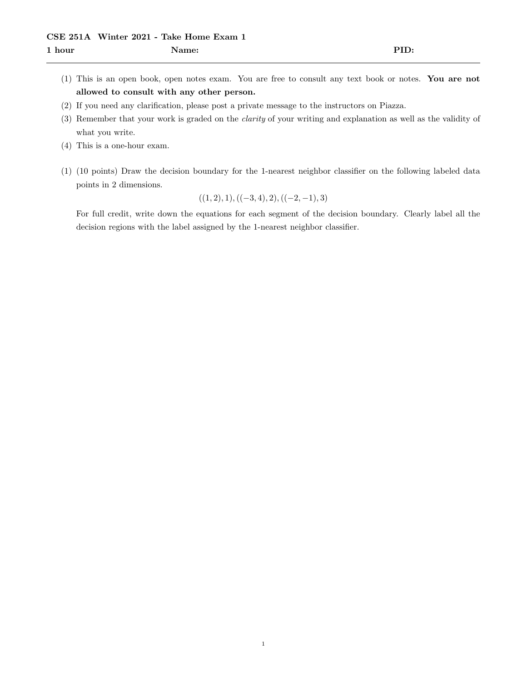- (1) This is an open book, open notes exam. You are free to consult any text book or notes. You are not allowed to consult with any other person.
- (2) If you need any clarification, please post a private message to the instructors on Piazza.
- (3) Remember that your work is graded on the clarity of your writing and explanation as well as the validity of what you write.
- (4) This is a one-hour exam.
- (1) (10 points) Draw the decision boundary for the 1-nearest neighbor classifier on the following labeled data points in 2 dimensions.

$$
((1,2),1), ((-3,4),2), ((-2,-1),3)
$$

For full credit, write down the equations for each segment of the decision boundary. Clearly label all the decision regions with the label assigned by the 1-nearest neighbor classifier.